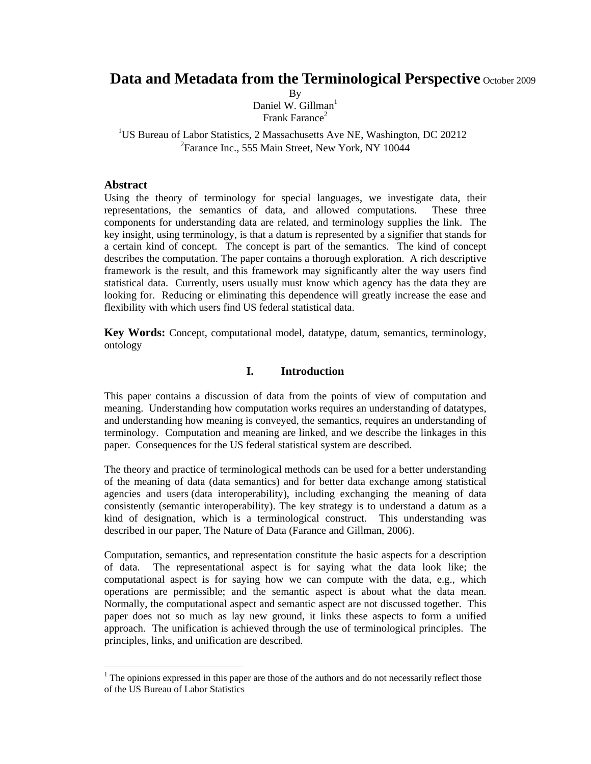# **Data and Metadata from the Terminological Perspective** October 2009

By Daniel W. Gillman $<sup>1</sup>$ </sup> Frank Farance $2$ 

<sup>1</sup>US Bureau of Labor Statistics, 2 Massachusetts Ave NE, Washington, DC 20212 <sup>2</sup>Farance Inc., 555 Main Street, New York, NY 10044

### **Abstract**

Using the theory of terminology for special languages, we investigate data, their representations, the semantics of data, and allowed computations. These three components for understanding data are related, and terminology supplies the link. The key insight, using terminology, is that a datum is represented by a signifier that stands for a certain kind of concept. The concept is part of the semantics. The kind of concept describes the computation. The paper contains a thorough exploration. A rich descriptive framework is the result, and this framework may significantly alter the way users find statistical data. Currently*,* users usually must know which agency has the data they are looking for. Reducing or eliminating this dependence will greatly increase the ease and flexibility with which users find US federal statistical data.

**Key Words:** Concept, computational model, datatype, datum, semantics, terminology, ontology

### **I. Introduction**

This paper contains a discussion of data from the points of view of computation and meaning. Understanding how computation works requires an understanding of datatypes, and understanding how meaning is conveyed, the semantics, requires an understanding of terminology. Computation and meaning are linked, and we describe the linkages in this paper. Consequences for the US federal statistical system are described.

The theory and practice of terminological methods can be used for a better understanding of the meaning of data (data semantics) and for better data exchange among statistical agencies and users (data interoperability), including exchanging the meaning of data consistently (semantic interoperability). The key strategy is to understand a datum as a kind of designation, which is a terminological construct. This understanding was described in our paper, The Nature of Data (Farance and Gillman, 2006).

Computation, semantics, and representation constitute the basic aspects for a description of data. The representational aspect is for saying what the data look like; the computational aspect is for saying how we can compute with the data, e.g., which operations are permissible; and the semantic aspect is about what the data mean. Normally, the computational aspect and semantic aspect are not discussed together. This paper does not so much as lay new ground, it links these aspects to form a unified approach. The unification is achieved through the use of terminological principles. The principles, links, and unification are described.

 $<sup>1</sup>$  The opinions expressed in this paper are those of the authors and do not necessarily reflect those</sup> of the US Bureau of Labor Statistics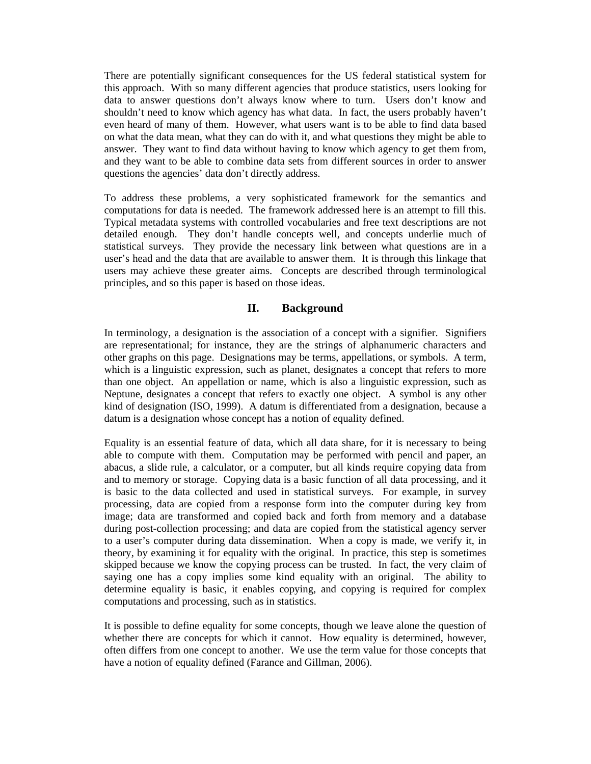There are potentially significant consequences for the US federal statistical system for this approach. With so many different agencies that produce statistics, users looking for data to answer questions don't always know where to turn. Users don't know and shouldn't need to know which agency has what data. In fact, the users probably haven't even heard of many of them. However, what users want is to be able to find data based on what the data mean, what they can do with it, and what questions they might be able to answer. They want to find data without having to know which agency to get them from, and they want to be able to combine data sets from different sources in order to answer questions the agencies' data don't directly address.

To address these problems, a very sophisticated framework for the semantics and computations for data is needed. The framework addressed here is an attempt to fill this. Typical metadata systems with controlled vocabularies and free text descriptions are not detailed enough. They don't handle concepts well, and concepts underlie much of statistical surveys. They provide the necessary link between what questions are in a user's head and the data that are available to answer them. It is through this linkage that users may achieve these greater aims. Concepts are described through terminological principles, and so this paper is based on those ideas.

### **II. Background**

In terminology, a designation is the association of a concept with a signifier. Signifiers are representational; for instance, they are the strings of alphanumeric characters and other graphs on this page. Designations may be terms, appellations, or symbols. A term, which is a linguistic expression, such as planet, designates a concept that refers to more than one object. An appellation or name, which is also a linguistic expression, such as Neptune, designates a concept that refers to exactly one object. A symbol is any other kind of designation (ISO, 1999). A datum is differentiated from a designation, because a datum is a designation whose concept has a notion of equality defined.

Equality is an essential feature of data, which all data share, for it is necessary to being able to compute with them. Computation may be performed with pencil and paper, an abacus, a slide rule, a calculator, or a computer, but all kinds require copying data from and to memory or storage. Copying data is a basic function of all data processing, and it is basic to the data collected and used in statistical surveys. For example, in survey processing, data are copied from a response form into the computer during key from image; data are transformed and copied back and forth from memory and a database during post-collection processing; and data are copied from the statistical agency server to a user's computer during data dissemination. When a copy is made, we verify it, in theory, by examining it for equality with the original. In practice, this step is sometimes skipped because we know the copying process can be trusted. In fact, the very claim of saying one has a copy implies some kind equality with an original. The ability to determine equality is basic, it enables copying, and copying is required for complex computations and processing, such as in statistics.

It is possible to define equality for some concepts, though we leave alone the question of whether there are concepts for which it cannot. How equality is determined, however, often differs from one concept to another. We use the term value for those concepts that have a notion of equality defined (Farance and Gillman, 2006).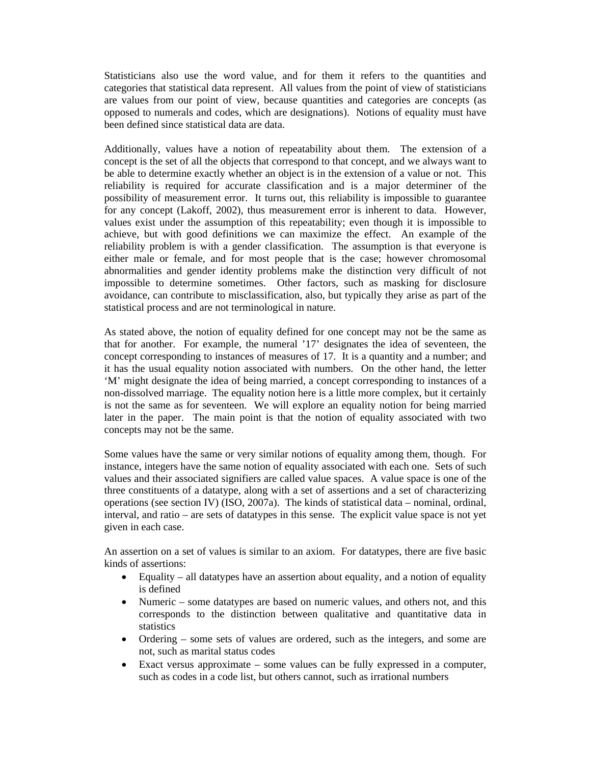Statisticians also use the word value, and for them it refers to the quantities and categories that statistical data represent. All values from the point of view of statisticians are values from our point of view, because quantities and categories are concepts (as opposed to numerals and codes, which are designations). Notions of equality must have been defined since statistical data are data.

Additionally, values have a notion of repeatability about them. The extension of a concept is the set of all the objects that correspond to that concept, and we always want to be able to determine exactly whether an object is in the extension of a value or not. This reliability is required for accurate classification and is a major determiner of the possibility of measurement error. It turns out, this reliability is impossible to guarantee for any concept (Lakoff, 2002), thus measurement error is inherent to data. However, values exist under the assumption of this repeatability; even though it is impossible to achieve, but with good definitions we can maximize the effect. An example of the reliability problem is with a gender classification. The assumption is that everyone is either male or female, and for most people that is the case; however chromosomal abnormalities and gender identity problems make the distinction very difficult of not impossible to determine sometimes. Other factors, such as masking for disclosure avoidance, can contribute to misclassification, also, but typically they arise as part of the statistical process and are not terminological in nature.

As stated above, the notion of equality defined for one concept may not be the same as that for another. For example, the numeral '17' designates the idea of seventeen, the concept corresponding to instances of measures of 17. It is a quantity and a number; and it has the usual equality notion associated with numbers. On the other hand, the letter 'M' might designate the idea of being married, a concept corresponding to instances of a non-dissolved marriage. The equality notion here is a little more complex, but it certainly is not the same as for seventeen. We will explore an equality notion for being married later in the paper. The main point is that the notion of equality associated with two concepts may not be the same.

Some values have the same or very similar notions of equality among them, though. For instance, integers have the same notion of equality associated with each one. Sets of such values and their associated signifiers are called value spaces. A value space is one of the three constituents of a datatype, along with a set of assertions and a set of characterizing operations (see section IV) (ISO, 2007a). The kinds of statistical data – nominal, ordinal, interval, and ratio – are sets of datatypes in this sense. The explicit value space is not yet given in each case.

An assertion on a set of values is similar to an axiom. For datatypes, there are five basic kinds of assertions:

- Equality all datatypes have an assertion about equality, and a notion of equality is defined
- Numeric some datatypes are based on numeric values, and others not, and this corresponds to the distinction between qualitative and quantitative data in statistics
- Ordering some sets of values are ordered, such as the integers, and some are not, such as marital status codes
- Exact versus approximate some values can be fully expressed in a computer, such as codes in a code list, but others cannot, such as irrational numbers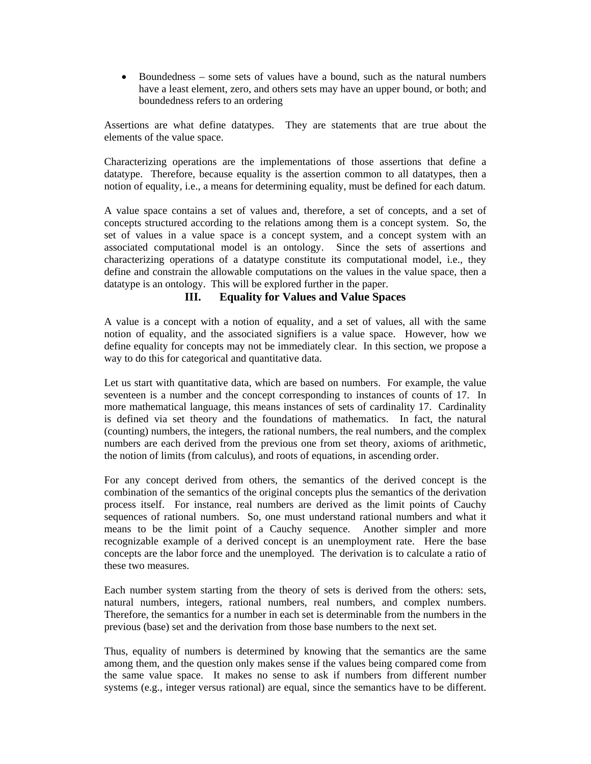• Boundedness – some sets of values have a bound, such as the natural numbers have a least element, zero, and others sets may have an upper bound, or both; and boundedness refers to an ordering

Assertions are what define datatypes. They are statements that are true about the elements of the value space.

Characterizing operations are the implementations of those assertions that define a datatype. Therefore, because equality is the assertion common to all datatypes, then a notion of equality, i.e., a means for determining equality, must be defined for each datum.

A value space contains a set of values and, therefore, a set of concepts, and a set of concepts structured according to the relations among them is a concept system. So, the set of values in a value space is a concept system, and a concept system with an associated computational model is an ontology. Since the sets of assertions and characterizing operations of a datatype constitute its computational model, i.e., they define and constrain the allowable computations on the values in the value space, then a datatype is an ontology. This will be explored further in the paper.

# **III. Equality for Values and Value Spaces**

A value is a concept with a notion of equality, and a set of values, all with the same notion of equality, and the associated signifiers is a value space. However, how we define equality for concepts may not be immediately clear. In this section, we propose a way to do this for categorical and quantitative data.

Let us start with quantitative data, which are based on numbers. For example, the value seventeen is a number and the concept corresponding to instances of counts of 17. In more mathematical language, this means instances of sets of cardinality 17. Cardinality is defined via set theory and the foundations of mathematics. In fact, the natural (counting) numbers, the integers, the rational numbers, the real numbers, and the complex numbers are each derived from the previous one from set theory, axioms of arithmetic, the notion of limits (from calculus), and roots of equations, in ascending order.

For any concept derived from others, the semantics of the derived concept is the combination of the semantics of the original concepts plus the semantics of the derivation process itself. For instance, real numbers are derived as the limit points of Cauchy sequences of rational numbers. So, one must understand rational numbers and what it means to be the limit point of a Cauchy sequence. Another simpler and more recognizable example of a derived concept is an unemployment rate. Here the base concepts are the labor force and the unemployed. The derivation is to calculate a ratio of these two measures.

Each number system starting from the theory of sets is derived from the others: sets, natural numbers, integers, rational numbers, real numbers, and complex numbers. Therefore, the semantics for a number in each set is determinable from the numbers in the previous (base) set and the derivation from those base numbers to the next set.

Thus, equality of numbers is determined by knowing that the semantics are the same among them, and the question only makes sense if the values being compared come from the same value space. It makes no sense to ask if numbers from different number systems (e.g., integer versus rational) are equal, since the semantics have to be different.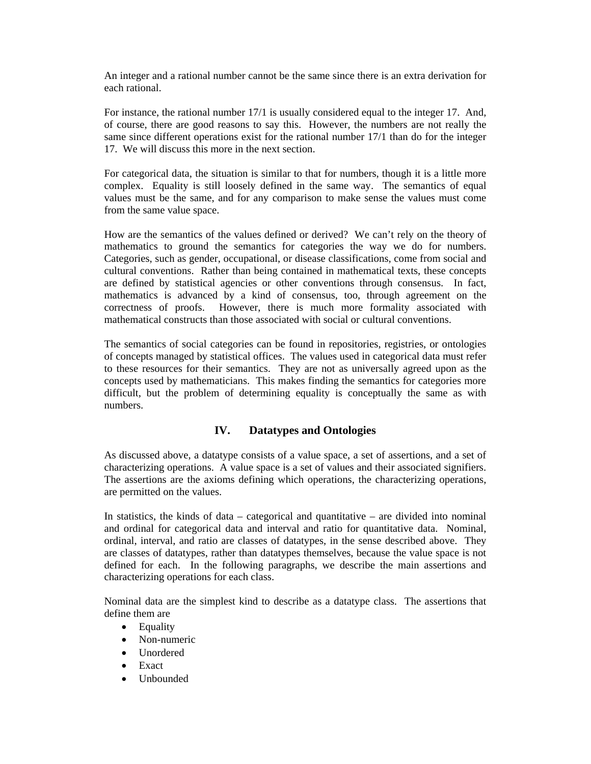An integer and a rational number cannot be the same since there is an extra derivation for each rational.

For instance, the rational number 17/1 is usually considered equal to the integer 17. And, of course, there are good reasons to say this. However, the numbers are not really the same since different operations exist for the rational number 17/1 than do for the integer 17. We will discuss this more in the next section.

For categorical data, the situation is similar to that for numbers, though it is a little more complex. Equality is still loosely defined in the same way. The semantics of equal values must be the same, and for any comparison to make sense the values must come from the same value space.

How are the semantics of the values defined or derived? We can't rely on the theory of mathematics to ground the semantics for categories the way we do for numbers. Categories, such as gender, occupational, or disease classifications, come from social and cultural conventions. Rather than being contained in mathematical texts, these concepts are defined by statistical agencies or other conventions through consensus. In fact, mathematics is advanced by a kind of consensus, too, through agreement on the correctness of proofs. However, there is much more formality associated with mathematical constructs than those associated with social or cultural conventions.

The semantics of social categories can be found in repositories, registries, or ontologies of concepts managed by statistical offices. The values used in categorical data must refer to these resources for their semantics. They are not as universally agreed upon as the concepts used by mathematicians. This makes finding the semantics for categories more difficult, but the problem of determining equality is conceptually the same as with numbers.

# **IV. Datatypes and Ontologies**

As discussed above, a datatype consists of a value space, a set of assertions, and a set of characterizing operations. A value space is a set of values and their associated signifiers. The assertions are the axioms defining which operations, the characterizing operations, are permitted on the values.

In statistics, the kinds of data  $-$  categorical and quantitative  $-$  are divided into nominal and ordinal for categorical data and interval and ratio for quantitative data. Nominal, ordinal, interval, and ratio are classes of datatypes, in the sense described above. They are classes of datatypes, rather than datatypes themselves, because the value space is not defined for each. In the following paragraphs, we describe the main assertions and characterizing operations for each class.

Nominal data are the simplest kind to describe as a datatype class. The assertions that define them are

- Equality
- Non-numeric
- Unordered
- Exact
- Unbounded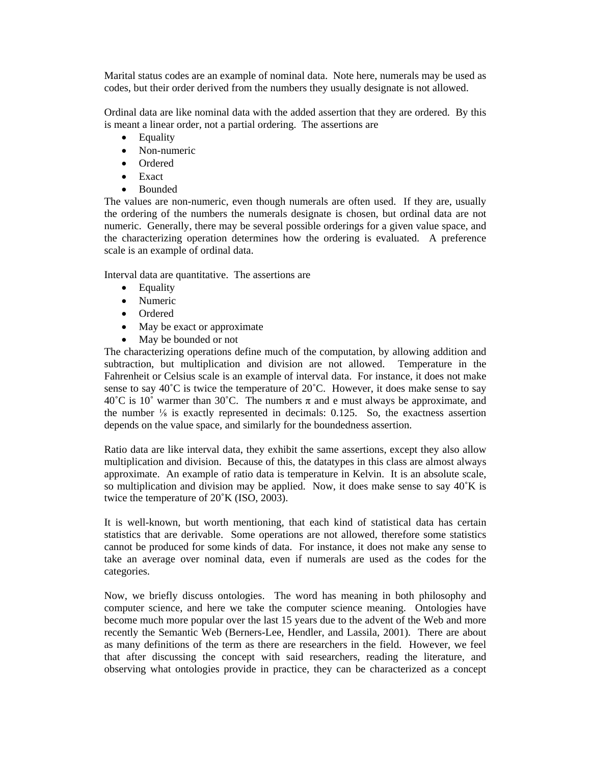Marital status codes are an example of nominal data. Note here, numerals may be used as codes, but their order derived from the numbers they usually designate is not allowed.

Ordinal data are like nominal data with the added assertion that they are ordered. By this is meant a linear order, not a partial ordering. The assertions are

- Equality
- Non-numeric
- Ordered
- Exact
- Bounded

The values are non-numeric, even though numerals are often used. If they are, usually the ordering of the numbers the numerals designate is chosen, but ordinal data are not numeric. Generally, there may be several possible orderings for a given value space, and the characterizing operation determines how the ordering is evaluated. A preference scale is an example of ordinal data.

Interval data are quantitative. The assertions are

- Equality
- Numeric
- Ordered
- May be exact or approximate
- May be bounded or not

The characterizing operations define much of the computation, by allowing addition and subtraction, but multiplication and division are not allowed. Temperature in the Fahrenheit or Celsius scale is an example of interval data. For instance, it does not make sense to say 40°C is twice the temperature of 20°C. However, it does make sense to say  $40^{\circ}$ C is 10° warmer than 30°C. The numbers  $\pi$  and e must always be approximate, and the number  $\frac{1}{8}$  is exactly represented in decimals: 0.125. So, the exactness assertion depends on the value space, and similarly for the boundedness assertion.

Ratio data are like interval data, they exhibit the same assertions, except they also allow multiplication and division. Because of this, the datatypes in this class are almost always approximate. An example of ratio data is temperature in Kelvin. It is an absolute scale, so multiplication and division may be applied. Now, it does make sense to say  $40^{\circ}$ K is twice the temperature of 20˚K (ISO, 2003).

It is well-known, but worth mentioning, that each kind of statistical data has certain statistics that are derivable. Some operations are not allowed, therefore some statistics cannot be produced for some kinds of data. For instance, it does not make any sense to take an average over nominal data, even if numerals are used as the codes for the categories.

Now, we briefly discuss ontologies. The word has meaning in both philosophy and computer science, and here we take the computer science meaning. Ontologies have become much more popular over the last 15 years due to the advent of the Web and more recently the Semantic Web (Berners-Lee, Hendler, and Lassila, 2001). There are about as many definitions of the term as there are researchers in the field. However, we feel that after discussing the concept with said researchers, reading the literature, and observing what ontologies provide in practice, they can be characterized as a concept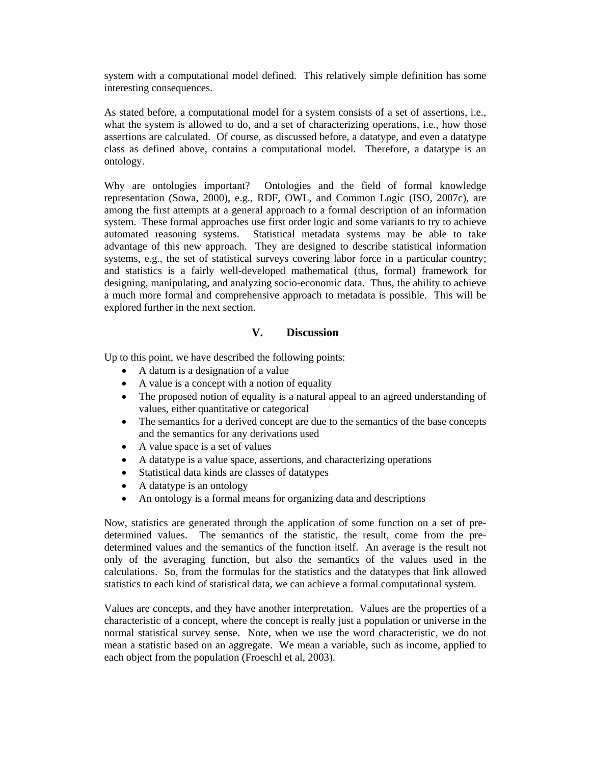system with a computational model defined. This relatively simple definition has some interesting consequences.

As stated before, a computational model for a system consists of a set of assertions, i.e., what the system is allowed to do, and a set of characterizing operations, i.e., how those assertions are calculated. Of course, as discussed before, a datatype, and even a datatype class as defined above, contains a computational model. Therefore, a datatype is an ontology.

Why are ontologies important? Ontologies and the field of formal knowledge representation (Sowa, 2000), e.g., RDF, OWL, and Common Logic (ISO, 2007c), are among the first attempts at a general approach to a formal description of an information system. These formal approaches use first order logic and some variants to try to achieve automated reasoning systems. Statistical metadata systems may be able to take advantage of this new approach. They are designed to describe statistical information systems, e.g., the set of statistical surveys covering labor force in a particular country; and statistics is a fairly well-developed mathematical (thus, formal) framework for designing, manipulating, and analyzing socio-economic data. Thus, the ability to achieve a much more formal and comprehensive approach to metadata is possible. This will be explored further in the next section.

### **V. Discussion**

Up to this point, we have described the following points:

- A datum is a designation of a value
- A value is a concept with a notion of equality
- The proposed notion of equality is a natural appeal to an agreed understanding of values, either quantitative or categorical
- The semantics for a derived concept are due to the semantics of the base concepts and the semantics for any derivations used
- A value space is a set of values
- A datatype is a value space, assertions, and characterizing operations
- Statistical data kinds are classes of datatypes
- A datatype is an ontology
- An ontology is a formal means for organizing data and descriptions

Now, statistics are generated through the application of some function on a set of predetermined values. The semantics of the statistic, the result, come from the predetermined values and the semantics of the function itself. An average is the result not only of the averaging function, but also the semantics of the values used in the calculations. So, from the formulas for the statistics and the datatypes that link allowed statistics to each kind of statistical data, we can achieve a formal computational system.

Values are concepts, and they have another interpretation. Values are the properties of a characteristic of a concept, where the concept is really just a population or universe in the normal statistical survey sense. Note, when we use the word characteristic, we do not mean a statistic based on an aggregate. We mean a variable, such as income, applied to each object from the population (Froeschl et al, 2003).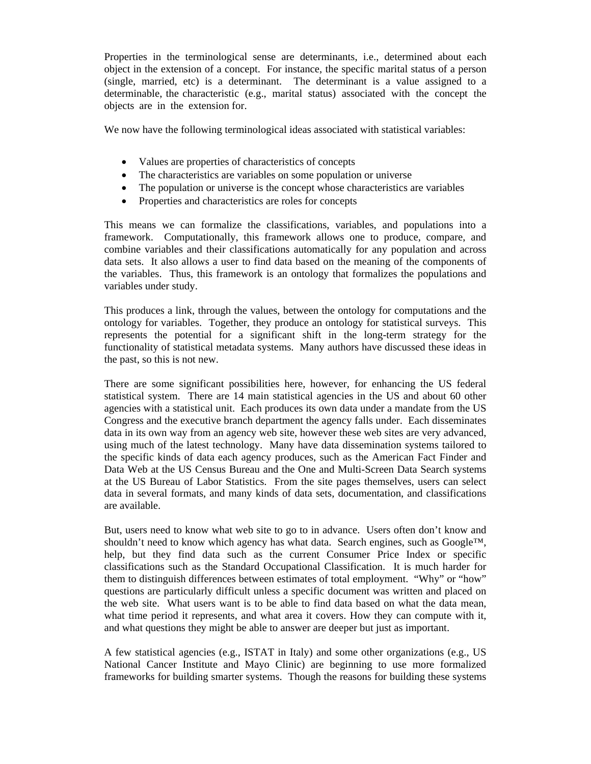Properties in the terminological sense are determinants, i.e., determined about each object in the extension of a concept. For instance, the specific marital status of a person (single, married, etc) is a determinant. The determinant is a value assigned to a determinable, the characteristic (e.g., marital status) associated with the concept the objects are in the extension for.

We now have the following terminological ideas associated with statistical variables:

- Values are properties of characteristics of concepts
- The characteristics are variables on some population or universe
- The population or universe is the concept whose characteristics are variables
- Properties and characteristics are roles for concepts

This means we can formalize the classifications, variables, and populations into a framework. Computationally, this framework allows one to produce, compare, and combine variables and their classifications automatically for any population and across data sets. It also allows a user to find data based on the meaning of the components of the variables. Thus, this framework is an ontology that formalizes the populations and variables under study.

This produces a link, through the values, between the ontology for computations and the ontology for variables. Together, they produce an ontology for statistical surveys. This represents the potential for a significant shift in the long-term strategy for the functionality of statistical metadata systems. Many authors have discussed these ideas in the past, so this is not new.

There are some significant possibilities here, however, for enhancing the US federal statistical system. There are 14 main statistical agencies in the US and about 60 other agencies with a statistical unit. Each produces its own data under a mandate from the US Congress and the executive branch department the agency falls under. Each disseminates data in its own way from an agency web site, however these web sites are very advanced, using much of the latest technology. Many have data dissemination systems tailored to the specific kinds of data each agency produces, such as the American Fact Finder and Data Web at the US Census Bureau and the One and Multi-Screen Data Search systems at the US Bureau of Labor Statistics. From the site pages themselves, users can select data in several formats, and many kinds of data sets, documentation, and classifications are available.

But, users need to know what web site to go to in advance. Users often don't know and shouldn't need to know which agency has what data. Search engines, such as  $Google^{TM}$ , help, but they find data such as the current Consumer Price Index or specific classifications such as the Standard Occupational Classification. It is much harder for them to distinguish differences between estimates of total employment. "Why" or "how" questions are particularly difficult unless a specific document was written and placed on the web site. What users want is to be able to find data based on what the data mean, what time period it represents, and what area it covers. How they can compute with it, and what questions they might be able to answer are deeper but just as important.

A few statistical agencies (e.g., ISTAT in Italy) and some other organizations (e.g., US National Cancer Institute and Mayo Clinic) are beginning to use more formalized frameworks for building smarter systems. Though the reasons for building these systems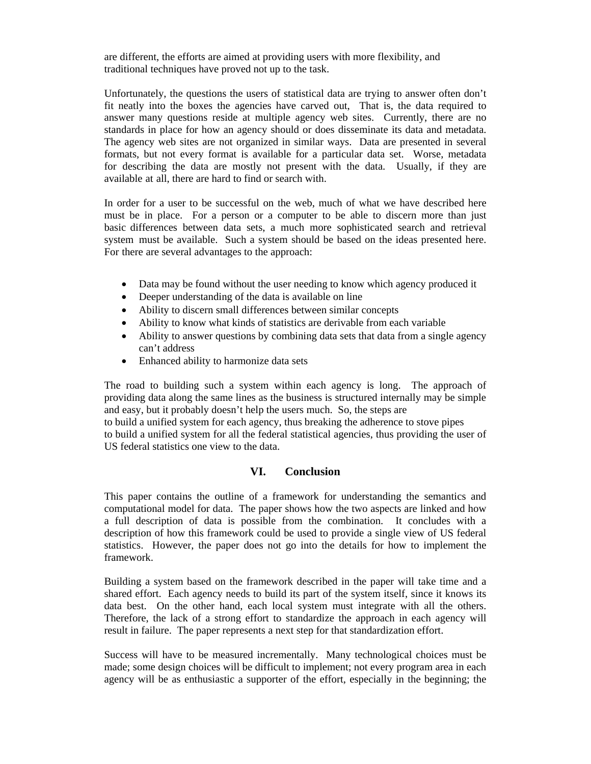are different, the efforts are aimed at providing users with more flexibility, and traditional techniques have proved not up to the task.

Unfortunately, the questions the users of statistical data are trying to answer often don't fit neatly into the boxes the agencies have carved out, That is, the data required to answer many questions reside at multiple agency web sites. Currently, there are no standards in place for how an agency should or does disseminate its data and metadata. The agency web sites are not organized in similar ways. Data are presented in several formats, but not every format is available for a particular data set. Worse, metadata for describing the data are mostly not present with the data. Usually, if they are available at all, there are hard to find or search with.

In order for a user to be successful on the web, much of what we have described here must be in place. For a person or a computer to be able to discern more than just basic differences between data sets, a much more sophisticated search and retrieval system must be available. Such a system should be based on the ideas presented here. For there are several advantages to the approach:

- Data may be found without the user needing to know which agency produced it
- Deeper understanding of the data is available on line
- Ability to discern small differences between similar concepts
- Ability to know what kinds of statistics are derivable from each variable
- Ability to answer questions by combining data sets that data from a single agency can't address
- Enhanced ability to harmonize data sets

The road to building such a system within each agency is long. The approach of providing data along the same lines as the business is structured internally may be simple and easy, but it probably doesn't help the users much. So, the steps are to build a unified system for each agency, thus breaking the adherence to stove pipes to build a unified system for all the federal statistical agencies, thus providing the user of US federal statistics one view to the data.

# **VI. Conclusion**

This paper contains the outline of a framework for understanding the semantics and computational model for data. The paper shows how the two aspects are linked and how a full description of data is possible from the combination. It concludes with a description of how this framework could be used to provide a single view of US federal statistics. However, the paper does not go into the details for how to implement the framework.

Building a system based on the framework described in the paper will take time and a shared effort. Each agency needs to build its part of the system itself, since it knows its data best. On the other hand, each local system must integrate with all the others. Therefore, the lack of a strong effort to standardize the approach in each agency will result in failure. The paper represents a next step for that standardization effort.

Success will have to be measured incrementally. Many technological choices must be made; some design choices will be difficult to implement; not every program area in each agency will be as enthusiastic a supporter of the effort, especially in the beginning; the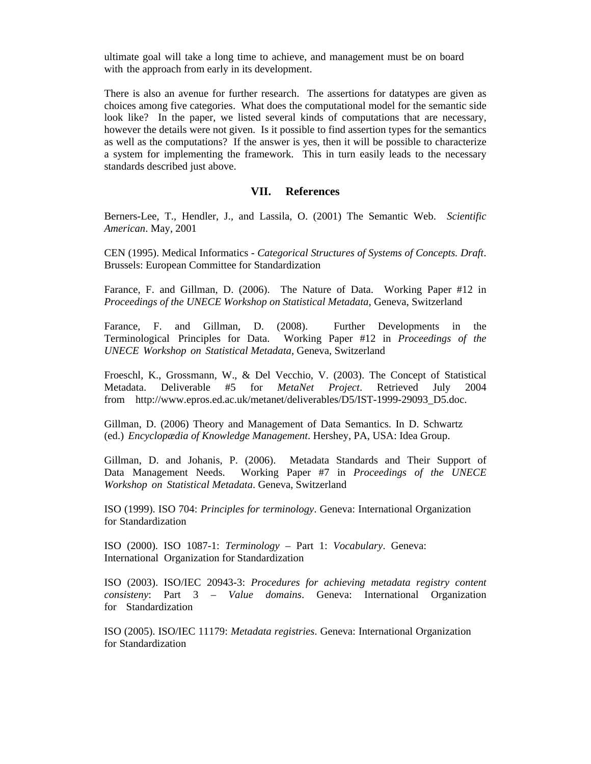ultimate goal will take a long time to achieve, and management must be on board with the approach from early in its development.

There is also an avenue for further research. The assertions for datatypes are given as choices among five categories. What does the computational model for the semantic side look like? In the paper, we listed several kinds of computations that are necessary, however the details were not given. Is it possible to find assertion types for the semantics as well as the computations? If the answer is yes, then it will be possible to characterize a system for implementing the framework. This in turn easily leads to the necessary standards described just above.

#### **VII. References**

Berners-Lee, T., Hendler, J., and Lassila, O. (2001) The Semantic Web. *Scientific American*. May, 2001

CEN (1995). Medical Informatics - *Categorical Structures of Systems of Concepts. Draft*. Brussels: European Committee for Standardization

Farance, F. and Gillman, D. (2006). The Nature of Data. Working Paper #12 in *Proceedings of the UNECE Workshop on Statistical Metadata*, Geneva, Switzerland

Farance, F. and Gillman, D. (2008). Further Developments in the Terminological Principles for Data. Working Paper #12 in *Proceedings of the UNECE Workshop on Statistical Metadata*, Geneva, Switzerland

Froeschl, K., Grossmann, W., & Del Vecchio, V. (2003). The Concept of Statistical Metadata. Deliverable #5 for *MetaNet Project*. Retrieved July 2004 from [http://www.epros.ed.ac.uk/metanet/deliverables/D5/IST-1999-29093\\_D5.doc](http://www.epros.ed.ac.uk/metanet/deliverables/D5/IST-1999-29093_D5.doc).

Gillman, D. (2006) Theory and Management of Data Semantics. In D. Schwartz (ed.) *Encyclopædia of Knowledge Management*. Hershey, PA, USA: Idea Group.

Gillman, D. and Johanis, P. (2006). Metadata Standards and Their Support of Data Management Needs. Working Paper #7 in *Proceedings of the UNECE Workshop on Statistical Metadata*. Geneva, Switzerland

ISO (1999). ISO 704: *Principles for terminology*. Geneva: International Organization for Standardization

ISO (2000). ISO 1087-1: *Terminology* – Part 1: *Vocabulary*. Geneva: International Organization for Standardization

ISO (2003). ISO/IEC 20943-3: *Procedures for achieving metadata registry content consisteny*: Part 3 – *Value domains*. Geneva: International Organization for Standardization

ISO (2005). ISO/IEC 11179: *Metadata registries*. Geneva: International Organization for Standardization